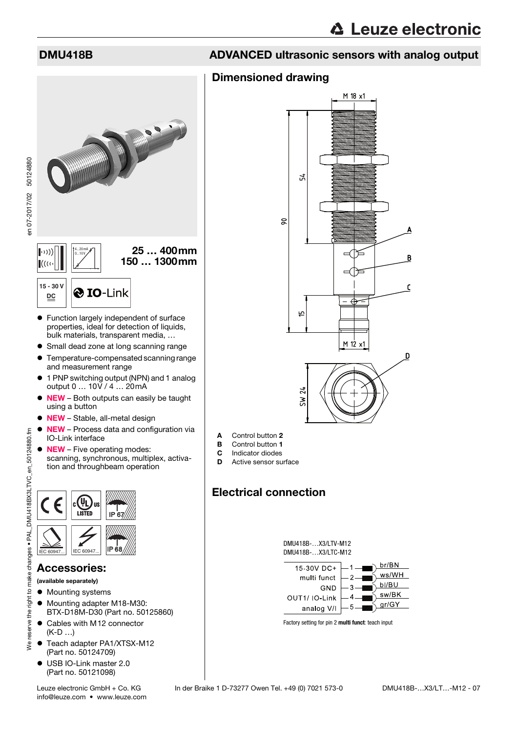### Dimensioned drawing



- Function largely independent of surface properties, ideal for detection of liquids, bulk materials, transparent media, …
- Small dead zone at long scanning range
- Temperature-compensated scanning range and measurement range
- 1 PNP switching output (NPN) and 1 analog output 0 … 10V / 4 … 20mA
- $\bullet$  NEW Both outputs can easily be taught using a button
- NEW Stable, all-metal design
- NEW Process data and configuration via IO-Link interface
- **NEW** Five operating modes: scanning, synchronous, multiplex, activation and throughbeam operation



### Accessories:

- (available separately)
- $\bullet$  Mounting systems
- $\bullet$  Mounting adapter M18-M30: BTX-D18M-D30 (Part no. 50125860)
- Cables with M12 connector (K-D …)
- Teach adapter PA1/XTSX-M12 (Part no. 50124709)
- USB IO-Link master 2.0 (Part no. 50121098)



- A Control button 2
- **B** Control button 1
- **C** Indicator diodes<br>**D** Active sensor su
- Active sensor surface

# Electrical connection





Factory setting for pin 2 **multi funct**: teach input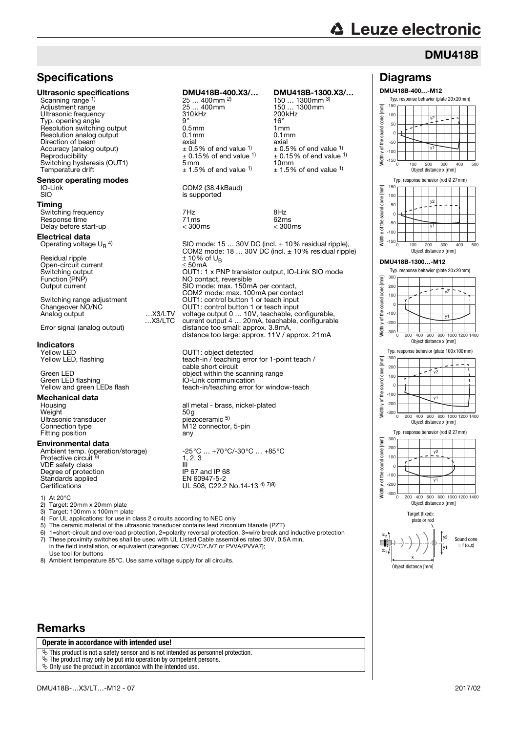# **△ Leuze electronic**

Diagrams DMU418B-400…-M12

> -150  $-100$ -50  $\Omega$ 50 100 150

Width y of the sound cone [mm]

Ē cone

E cone sound the 3  $\overline{5}$ vidth

## DMU418B

0 100 200 300 400 500

y1

Object distance x [mm]

Typ. response behavior (rod Ø 27mm)

y2

y2

Typ. response behavior (plate 20x20mm)

## **Specifications**

### Ultrasonic specifications DMU418B-4

### Sensor operating modes<br>IO-Link IO-Link COM2 (38.4k<br>SIO is supported

### Electrical data

# **Indicators**<br>Yellow LED

Green LED flashing<br>Internal communication<br>Increment communication

# **Mechanical data**<br>Housing

Weight 50g Ultrasonic transducer Connection type<br>Fitting position

### Environmental data

VDE safety class<br>
Degree of protection<br>
IP 67 and IP 68 Degree of protection<br>
Standards applied<br>
Standards applied<br>
IP 67 and IP 68<br>
EN 60947-5-2 Standards applied<br>Certifications

1) At 20°C

- 2) Target: 20mm x 20mm plate<br>3) Target: 100mm x 100mm plate
- 3) Target: 100mm x 100mm plate<br>4) For UL applications: for use in d
- For UL applications: for use in class 2 circuits according to NEC only

- 5) The ceramic material of the ultrasonic transducer contains lead zirconium titanate (PZT)<br>6)  $1 = \frac{\text{short-circuit}}{\text{and overload protection}}$  2 = polarity reversal protection  $3 = \text{wire break}$  and
- 6) 1=short-circuit and overload protection, 2=polarity reversal protection, 3=wire break and inductive protection<br>
7) These proximity switches shall be used with UL Listed Cable assemblies rated 30V, 0.5A min. These proximity switches shall be used with UL Listed Cable assemblies rated 30V, 0.5A min, in the field installation, or equivalent (categories: CYJV/CYJV7 or PVVA/PVVA7);
- Use tool for buttons 8) Ambient temperature 85°C. Use same voltage supply for all circuits.

## Remarks

### **Operate in accordance with intended use!**

 $\ddot{\phi}$  This product is not a safety sensor and is not intended as personnel protection.

The product may only be put into operation by competent persons.

 $\ddot{\mathbf{\diamond}}$  Only use the product in accordance with the intended use.

| Specifications                                                                                                                                                                                                                                                                                      |                     |                                                                                                                                                                                                                                                             |                                                                                                                                                                                                                           |
|-----------------------------------------------------------------------------------------------------------------------------------------------------------------------------------------------------------------------------------------------------------------------------------------------------|---------------------|-------------------------------------------------------------------------------------------------------------------------------------------------------------------------------------------------------------------------------------------------------------|---------------------------------------------------------------------------------------------------------------------------------------------------------------------------------------------------------------------------|
| Jltrasonic specifications<br>Scanning range 1)<br>Adjustment range<br>Ultrasonic frequency<br>Typ. opening angle<br>Resolution switching output<br>Resolution analog output<br>Direction of beam<br>Accuracy (analog output)<br>Reproducibility<br>Switching hysteresis (OUT1)<br>Temperature drift |                     | DMU418B-400.X3/<br>$25400$ mm $^{2)}$<br>25  400mm<br>310kHz<br>$9^{\circ}$<br>0.5 <sub>mm</sub><br>$0.1$ mm<br>axial<br>$\pm$ 0.5% of end value <sup>1)</sup><br>$\pm$ 0.15% of end value <sup>1)</sup><br>$5 \,\mathrm{mm}$<br>$\pm$ 1.5% of end value 1) | DMU418B-1300.X3/<br>150  1300 mm $3)$<br>150  1300mm<br>200kHz<br>$16^{\circ}$<br>1mm<br>$0.1$ mm<br>axial<br>$\pm$ 0.5% of end value 1)<br>$\pm$ 0.15% of end value 1)<br>10 <sub>mm</sub><br>$\pm$ 1.5% of end value 1) |
| ensor operating modes<br>IO-Link<br>SIO                                                                                                                                                                                                                                                             |                     | COM2 (38.4 kBaud)<br>is supported                                                                                                                                                                                                                           |                                                                                                                                                                                                                           |
| <b>iming</b><br>Switching frequency<br>Response time<br>Delay before start-up                                                                                                                                                                                                                       |                     | 7Hz<br>71ms<br>$<$ 300 $ms$                                                                                                                                                                                                                                 | 8Hz<br>62ms<br>$<$ 300 $\mathrm{ms}$                                                                                                                                                                                      |
| lectrical data:<br>Operating voltage $\mathsf{U}_{\mathsf{B}}$ <sup>4)</sup><br>Residual ripple                                                                                                                                                                                                     |                     | SIO mode: $1530V$ DC (incl. $\pm 10\%$ residual ripple),<br>COM2 mode: 18  30V DC (incl. $\pm$ 10% residual ripple)<br>$\pm$ 10% of U <sub>R</sub>                                                                                                          |                                                                                                                                                                                                                           |
| Open-circuit current<br>Switching output<br>Function (PNP)<br>Output current                                                                                                                                                                                                                        |                     | $\leq 50$ mA<br>OUT1: 1 x PNP transistor output, IO-Link SIO mode<br>NO contact, reversible<br>SIO mode: max. 150mA per contact,<br>COM2 mode: max. 100mA per contact                                                                                       |                                                                                                                                                                                                                           |
| Switching range adjustment<br>Changeover NO/NC<br>Analog output                                                                                                                                                                                                                                     | $$ X3/LTV<br>X3/LTC | OUT1: control button 1 or teach input<br>OUT1: control button 1 or teach input<br>voltage output 0  10V, teachable, configurable,<br>current output 4  20mA, teachable, configurable                                                                        |                                                                                                                                                                                                                           |
| Error signal (analog output)                                                                                                                                                                                                                                                                        |                     | distance too small: approx. 3.8mA,<br>distance too large: approx. 11V / approx. 21mA                                                                                                                                                                        |                                                                                                                                                                                                                           |
| ndicators                                                                                                                                                                                                                                                                                           |                     |                                                                                                                                                                                                                                                             |                                                                                                                                                                                                                           |

Yellow LED<br>Yellow LED, flashing Yellow Leach-in / teaching error teach-in / teaching error for 1-point teach / cable short circuit Green LED<br>
Green LED flashing<br>
Green LED flashing<br>
Subsetted the Solution of Link communication teach-in/teaching error for window-teach

> all metal - brass, nickel-plated<br>50g M12 connector, 5-pin<br>any

Ambient temp. (operation/storage) -25°C … +70°C/-30°C … +85°C<br>Protective circuit <sup>6)</sup> 1, 2, 3 -25°C ... +70°C/-30°C ... +85°C<br>1, 2, 3<br>III UL 508, C22.2 No.14-13 4) 7)8)

Vidth -300 Target (fixed): 一册  $\alpha$ .





Object distance x [mm]



### $\sim$ Sound cone  $= f(\alpha, x)$ Object distance [mm]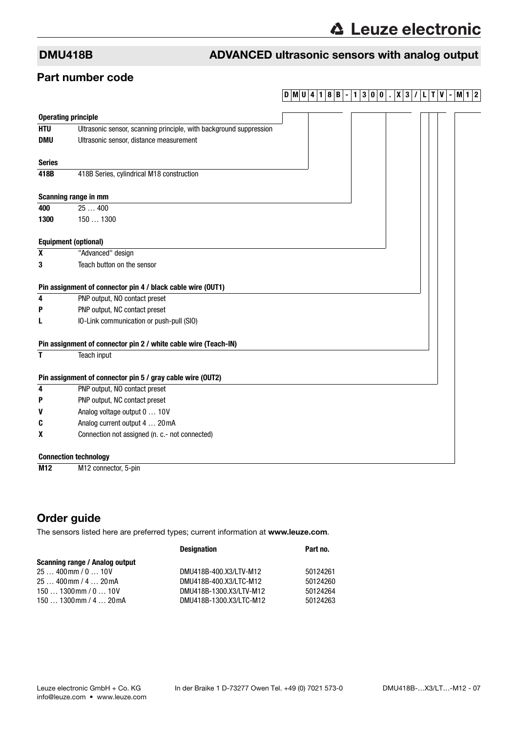### Part number code

# **DMU 4 1 8 B - 1 3 0 0 . X 3 / L T V - M1 2**

|               | <b>Operating principle</b>                                         |  |
|---------------|--------------------------------------------------------------------|--|
| <b>HTU</b>    | Ultrasonic sensor, scanning principle, with background suppression |  |
| <b>DMU</b>    | Ultrasonic sensor, distance measurement                            |  |
| <b>Series</b> |                                                                    |  |
| 418B          | 418B Series, cylindrical M18 construction                          |  |
|               | Scanning range in mm                                               |  |
| 400           | 25400                                                              |  |
| 1300          | 1501300                                                            |  |
|               | <b>Equipment (optional)</b>                                        |  |
| $\pmb{\chi}$  | "Advanced" design                                                  |  |
| 3             | Teach button on the sensor                                         |  |
|               | Pin assignment of connector pin 4 / black cable wire (OUT1)        |  |
| 4             | PNP output, NO contact preset                                      |  |
| P             | PNP output, NC contact preset                                      |  |
| L             | IO-Link communication or push-pull (SIO)                           |  |
|               | Pin assignment of connector pin 2 / white cable wire (Teach-IN)    |  |
| T             | Teach input                                                        |  |
|               | Pin assignment of connector pin 5 / gray cable wire (OUT2)         |  |
| 4             | PNP output, NO contact preset                                      |  |
| P             | PNP output, NC contact preset                                      |  |
| v             | Analog voltage output 0  10V                                       |  |
| C             | Analog current output 4  20mA                                      |  |
| x             | Connection not assigned (n. c.- not connected)                     |  |
|               | <b>Connection technology</b>                                       |  |
| M12           | M <sub>12</sub> connector, 5-pin                                   |  |

## Order guide

The sensors listed here are preferred types; current information at www.leuze.com.

|                                | <b>Designation</b>      | Part no. |
|--------------------------------|-------------------------|----------|
| Scanning range / Analog output |                         |          |
| $25400$ mm $/ 010V$            | DMU418B-400.X3/LTV-M12  | 50124261 |
| $25400$ mm $/420$ mA           | DMU418B-400.X3/LTC-M12  | 50124260 |
| $1501300$ mm $/ 010V$          | DMU418B-1300.X3/LTV-M12 | 50124264 |
| $1501300$ mm $/420$ mA         | DMU418B-1300.X3/LTC-M12 | 50124263 |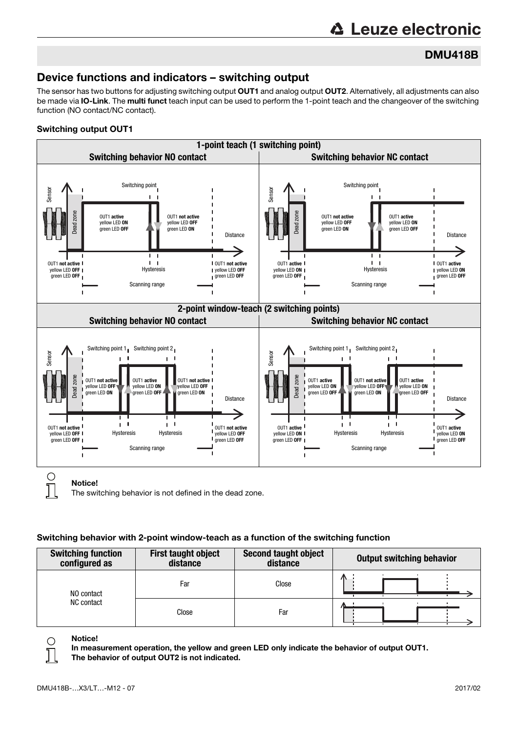# **△ Leuze electronic**

# DMU418B

# Device functions and indicators – switching output

The sensor has two buttons for adjusting switching output OUT1 and analog output OUT2. Alternatively, all adjustments can also be made via IO-Link. The multi funct teach input can be used to perform the 1-point teach and the changeover of the switching function (NO contact/NC contact).

### Switching output OUT1



The switching behavior is not defined in the dead zone.

### Switching behavior with 2-point window-teach as a function of the switching function

| <b>Switching function</b><br>configured as | <b>First taught object</b><br>distance | <b>Second taught object</b><br>distance | <b>Output switching behavior</b> |
|--------------------------------------------|----------------------------------------|-----------------------------------------|----------------------------------|
| NO contact<br>NC contact                   | Far                                    | Close                                   | 灬                                |
|                                            | Close                                  | Far                                     |                                  |



Notice!

In measurement operation, the yellow and green LED only indicate the behavior of output OUT1. The behavior of output OUT2 is not indicated.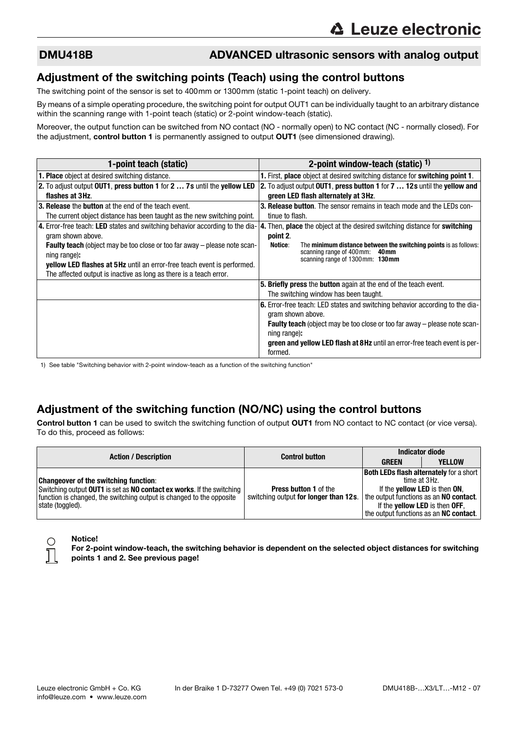### Adjustment of the switching points (Teach) using the control buttons

The switching point of the sensor is set to 400mm or 1300mm (static 1-point teach) on delivery.

By means of a simple operating procedure, the switching point for output OUT1 can be individually taught to an arbitrary distance within the scanning range with 1-point teach (static) or 2-point window-teach (static).

Moreover, the output function can be switched from NO contact (NO - normally open) to NC contact (NC - normally closed). For the adjustment, control button 1 is permanently assigned to output OUT1 (see dimensioned drawing).

| 1-point teach (static)                                                                            | 2-point window-teach (static) $1$ )                                                                            |
|---------------------------------------------------------------------------------------------------|----------------------------------------------------------------------------------------------------------------|
| <b>1. Place</b> object at desired switching distance.                                             | 1. First, place object at desired switching distance for switching point 1.                                    |
| 2. To adjust output OUT1, press button 1 for 2  7s until the yellow LED                           | 2. To adjust output OUT1, press button 1 for 7  12s until the yellow and                                       |
| flashes at 3Hz.                                                                                   | green LED flash alternately at 3Hz.                                                                            |
| 3. Release the button at the end of the teach event.                                              | <b>3. Release button</b> . The sensor remains in teach mode and the LEDs con-                                  |
| The current object distance has been taught as the new switching point.                           | tinue to flash.                                                                                                |
| 4. Error-free teach: LED states and switching behavior according to the dia-<br>gram shown above. | 4. Then, place the object at the desired switching distance for switching<br>point 2.                          |
| Faulty teach (object may be too close or too far away - please note scan-<br>ning range):         | The minimum distance between the switching points is as follows:<br>Notice:<br>scanning range of 400 mm: 40 mm |
| <b>yellow LED flashes at 5Hz</b> until an error-free teach event is performed.                    | scanning range of 1300mm: 130mm                                                                                |
| The affected output is inactive as long as there is a teach error.                                |                                                                                                                |
|                                                                                                   | 5. Briefly press the button again at the end of the teach event.                                               |
|                                                                                                   | The switching window has been taught.                                                                          |
|                                                                                                   | 6. Error-free teach: LED states and switching behavior according to the dia-                                   |
|                                                                                                   | gram shown above.                                                                                              |
|                                                                                                   | <b>Faulty teach</b> (object may be too close or too far away – please note scan-                               |
|                                                                                                   | ning range):                                                                                                   |
|                                                                                                   | <b>green and yellow LED flash at 8Hz</b> until an error-free teach event is per-<br>formed.                    |

1) See table "Switching behavior with 2-point window-teach as a function of the switching function"

# Adjustment of the switching function (NO/NC) using the control buttons

Control button 1 can be used to switch the switching function of output OUT1 from NO contact to NC contact (or vice versa). To do this, proceed as follows:

|                                                                                                                                                                                                                   | <b>Control button</b>                                                 | <b>Indicator diode</b>                                                          |                                                                                                                                                          |
|-------------------------------------------------------------------------------------------------------------------------------------------------------------------------------------------------------------------|-----------------------------------------------------------------------|---------------------------------------------------------------------------------|----------------------------------------------------------------------------------------------------------------------------------------------------------|
| <b>Action / Description</b>                                                                                                                                                                                       |                                                                       | <b>GREEN</b>                                                                    | <b>YELLOW</b>                                                                                                                                            |
| <b>Changeover of the switching function:</b><br>Switching output OUT1 is set as NO contact ex works. If the switching<br>function is changed, the switching output is changed to the opposite<br>state (toggled). | <b>Press button 1 of the</b><br>switching output for longer than 12s. | the output functions as an NO contact.<br>If the <b>yellow LED</b> is then OFF, | <b>Both LEDs flash alternately for a short</b><br>time at 3Hz.<br>If the <b>yellow LED</b> is then ON,<br>the output functions as an <b>NC contact</b> . |

### Notice!

For 2-point window-teach, the switching behavior is dependent on the selected object distances for switching points 1 and 2. See previous page!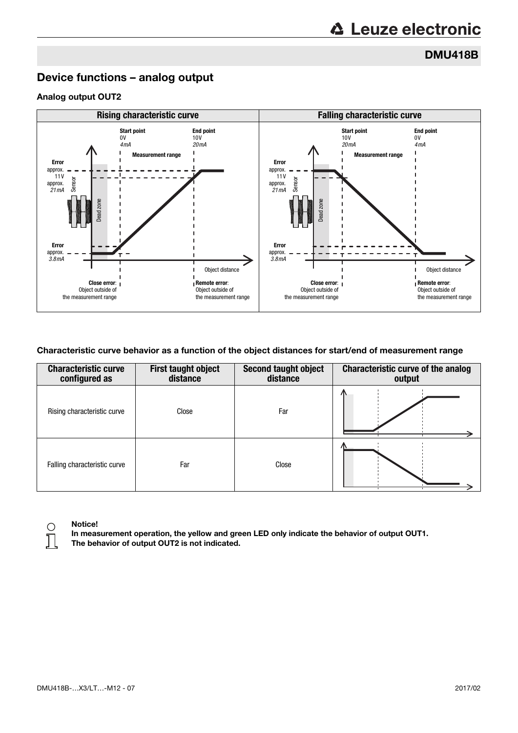DMU418B

## Device functions – analog output

### Analog output OUT2



### Characteristic curve behavior as a function of the object distances for start/end of measurement range

| <b>Characteristic curve</b><br>configured as | <b>First taught object</b><br>distance | Second taught object<br>distance | <b>Characteristic curve of the analog</b><br>output |
|----------------------------------------------|----------------------------------------|----------------------------------|-----------------------------------------------------|
| Rising characteristic curve                  | Close                                  | Far                              | Æ                                                   |
| Falling characteristic curve                 | Far                                    | Close                            |                                                     |



### Notice!

In measurement operation, the yellow and green LED only indicate the behavior of output OUT1. The behavior of output OUT2 is not indicated.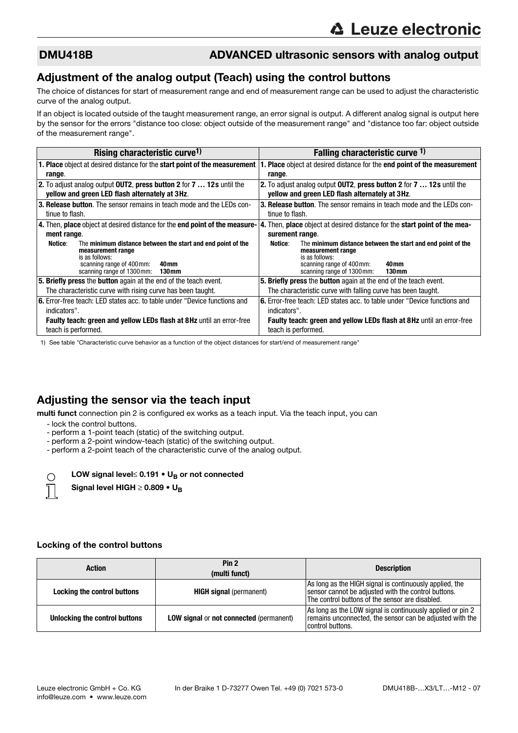### Adjustment of the analog output (Teach) using the control buttons

The choice of distances for start of measurement range and end of measurement range can be used to adjust the characteristic curve of the analog output.

If an object is located outside of the taught measurement range, an error signal is output. A different analog signal is output here by the sensor for the errors "distance too close: object outside of the measurement range" and "distance too far: object outside of the measurement range".

| Rising characteristic curve <sup>1)</sup>                                                                                                           | Falling characteristic curve 1)                                                                                                                                |  |
|-----------------------------------------------------------------------------------------------------------------------------------------------------|----------------------------------------------------------------------------------------------------------------------------------------------------------------|--|
| <b>1. Place object at desired distance for the start point of the measurement</b>                                                                   | <b>Place</b> object at desired distance for the <b>end point of the measurement</b>                                                                            |  |
| range.                                                                                                                                              | range.                                                                                                                                                         |  |
| 2. To adjust analog output OUT2, press button 2 for 7  12s until the                                                                                | 2. To adjust analog output <b>OUT2</b> , press button 2 for 7  12s until the                                                                                   |  |
| vellow and green LED flash alternately at 3Hz.                                                                                                      | yellow and green LED flash alternately at 3Hz.                                                                                                                 |  |
| 3. Release button. The sensor remains in teach mode and the LEDs con-                                                                               | <b>3. Release button.</b> The sensor remains in teach mode and the LEDs con-                                                                                   |  |
| tinue to flash.                                                                                                                                     | tinue to flash.                                                                                                                                                |  |
| 4. Then, place object at desired distance for the end point of the measure-                                                                         | 4. Then, place object at desired distance for the start point of the mea-                                                                                      |  |
| ment range.                                                                                                                                         | surement range.                                                                                                                                                |  |
| Notice:<br>The minimum distance between the start and end point of the<br>measurement range<br>is as follows:<br>scanning range of 400 mm:<br>40 mm | The minimum distance between the start and end point of the<br>Notice:<br>measurement range<br>is as follows:<br>scanning range of 400 mm:<br>40 <sub>mm</sub> |  |
| scanning range of 1300 mm:<br>130 <sub>mm</sub>                                                                                                     | scanning range of 1300 mm:<br>130 <sub>mm</sub>                                                                                                                |  |
| 5. Briefly press the button again at the end of the teach event.                                                                                    | 5. Briefly press the button again at the end of the teach event.                                                                                               |  |
| The characteristic curve with rising curve has been taught.                                                                                         | The characteristic curve with falling curve has been taught.                                                                                                   |  |
| <b>6.</b> Error-free teach: LED states acc, to table under "Device functions and<br>indicators".                                                    | <b>6.</b> Error-free teach: LED states acc. to table under "Device functions and<br>indicators".                                                               |  |
| <b>Faulty teach: green and yellow LEDs flash at 8Hz until an error-free</b><br>teach is performed.                                                  | Faulty teach: green and yellow LEDs flash at 8Hz until an error-free<br>teach is performed.                                                                    |  |

1) See table "Characteristic curve behavior as a function of the object distances for start/end of measurement range"

### Adjusting the sensor via the teach input

multi funct connection pin 2 is configured ex works as a teach input. Via the teach input, you can

- lock the control buttons.

 $\bigcap$ 

- perform a 1-point teach (static) of the switching output.
- perform a 2-point window-teach (static) of the switching output.
- perform a 2-point teach of the characteristic curve of the analog output.

LOW signal level≤ 0.191  $\cdot$  U<sub>B</sub> or not connected

Signal level HIGH  $\geq$  0.809 • U<sub>B</sub>

### Locking of the control buttons

| <b>Action</b>                 | Pin <sub>2</sub><br>(multi funct)              | <b>Description</b>                                                                                                                                                |
|-------------------------------|------------------------------------------------|-------------------------------------------------------------------------------------------------------------------------------------------------------------------|
| Locking the control buttons   | <b>HIGH signal</b> (permanent)                 | As long as the HIGH signal is continuously applied, the<br>sensor cannot be adjusted with the control buttons.<br>The control buttons of the sensor are disabled. |
| Unlocking the control buttons | <b>LOW signal or not connected (permanent)</b> | As long as the LOW signal is continuously applied or pin 2<br>remains unconnected, the sensor can be adjusted with the<br>control buttons.                        |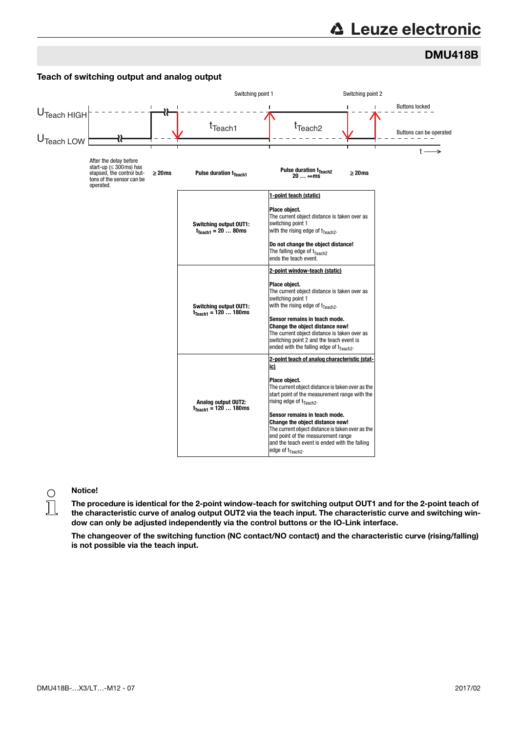# **∆ Leuze electronic**

# DMU418B



Notice!

The procedure is identical for the 2-point window-teach for switching output OUT1 and for the 2-point teach of the characteristic curve of analog output OUT2 via the teach input. The characteristic curve and switching window can only be adjusted independently via the control buttons or the IO-Link interface.

The changeover of the switching function (NC contact/NO contact) and the characteristic curve (rising/falling) is not possible via the teach input.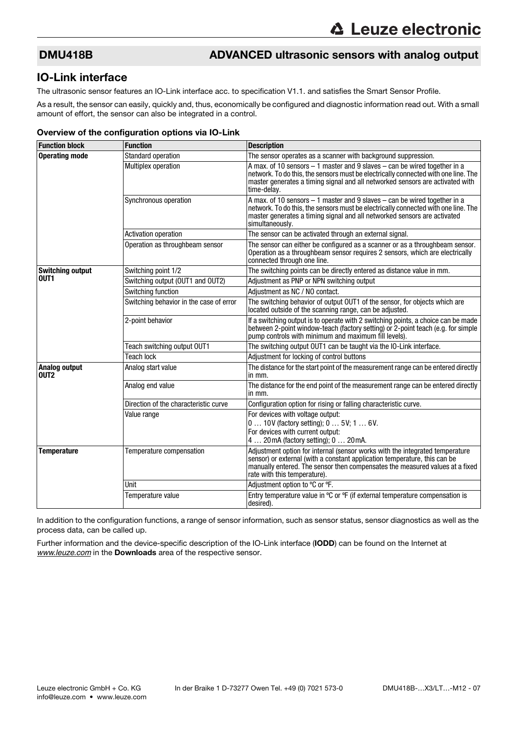### IO-Link interface

The ultrasonic sensor features an IO-Link interface acc. to specification V1.1. and satisfies the Smart Sensor Profile.

As a result, the sensor can easily, quickly and, thus, economically be configured and diagnostic information read out. With a small amount of effort, the sensor can also be integrated in a control.

### Overview of the configuration options via IO-Link

| <b>Function block</b>                    | <b>Function</b>                         | <b>Description</b>                                                                                                                                                                                                                                                        |
|------------------------------------------|-----------------------------------------|---------------------------------------------------------------------------------------------------------------------------------------------------------------------------------------------------------------------------------------------------------------------------|
| <b>Operating mode</b>                    | Standard operation                      | The sensor operates as a scanner with background suppression.                                                                                                                                                                                                             |
|                                          | Multiplex operation                     | A max. of 10 sensors $-1$ master and 9 slaves $-$ can be wired together in a<br>network. To do this, the sensors must be electrically connected with one line. The<br>master generates a timing signal and all networked sensors are activated with<br>time-delay.        |
|                                          | Synchronous operation                   | A max. of 10 sensors $-1$ master and 9 slaves $-$ can be wired together in a<br>network. To do this, the sensors must be electrically connected with one line. The<br>master generates a timing signal and all networked sensors are activated<br>simultaneously.         |
|                                          | <b>Activation operation</b>             | The sensor can be activated through an external signal.                                                                                                                                                                                                                   |
|                                          | Operation as throughbeam sensor         | The sensor can either be configured as a scanner or as a throughbeam sensor.<br>Operation as a throughbeam sensor requires 2 sensors, which are electrically<br>connected through one line.                                                                               |
| <b>Switching output</b>                  | Switching point 1/2                     | The switching points can be directly entered as distance value in mm.                                                                                                                                                                                                     |
| OUT <sub>1</sub>                         | Switching output (OUT1 and OUT2)        | Adjustment as PNP or NPN switching output                                                                                                                                                                                                                                 |
|                                          | Switching function                      | Adjustment as NC / NO contact.                                                                                                                                                                                                                                            |
|                                          | Switching behavior in the case of error | The switching behavior of output OUT1 of the sensor, for objects which are<br>located outside of the scanning range, can be adjusted.                                                                                                                                     |
|                                          | 2-point behavior                        | If a switching output is to operate with 2 switching points, a choice can be made<br>between 2-point window-teach (factory setting) or 2-point teach (e.g. for simple<br>pump controls with minimum and maximum fill levels).                                             |
|                                          | Teach switching output OUT1             | The switching output OUT1 can be taught via the IO-Link interface.                                                                                                                                                                                                        |
|                                          | Teach lock                              | Adjustment for locking of control buttons                                                                                                                                                                                                                                 |
| <b>Analog output</b><br>OUT <sub>2</sub> | Analog start value                      | The distance for the start point of the measurement range can be entered directly<br>in mm.                                                                                                                                                                               |
|                                          | Analog end value                        | The distance for the end point of the measurement range can be entered directly<br>in mm.                                                                                                                                                                                 |
|                                          | Direction of the characteristic curve   | Configuration option for rising or falling characteristic curve.                                                                                                                                                                                                          |
|                                          | Value range                             | For devices with voltage output:                                                                                                                                                                                                                                          |
|                                          |                                         | 0  10V (factory setting); 0  5V; 1  6V.<br>For devices with current output:                                                                                                                                                                                               |
|                                          |                                         | 4  20 mA (factory setting); 0  20 mA.                                                                                                                                                                                                                                     |
| <b>Temperature</b>                       | Temperature compensation                | Adjustment option for internal (sensor works with the integrated temperature<br>sensor) or external (with a constant application temperature, this can be<br>manually entered. The sensor then compensates the measured values at a fixed<br>rate with this temperature). |
|                                          | Unit                                    | Adjustment option to °C or °F.                                                                                                                                                                                                                                            |
|                                          | Temperature value                       | Entry temperature value in °C or °F (if external temperature compensation is<br>desired).                                                                                                                                                                                 |

In addition to the configuration functions, a range of sensor information, such as sensor status, sensor diagnostics as well as the process data, can be called up.

Further information and the device-specific description of the IO-Link interface (IODD) can be found on the Internet at *[www.leuze.com](http://www.leuze.com)* in the Downloads area of the respective sensor.